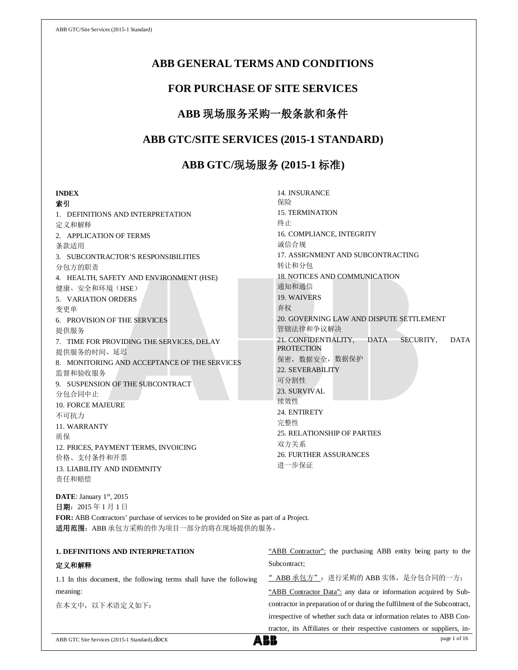## **ABB GENERAL TERMS AND CONDITIONS**

## **FOR PURCHASE OF SITE SERVICES**

# **ABB** 现场服务采购一般条款和条件

## **ABB GTC/SITE SERVICES (2015-1 STANDARD)**

# **ABB GTC/**现场服务 **(2015-1** 标准**)**

| <b>INDEX</b>                                                                            | 14. INSURANCE                                                   |  |
|-----------------------------------------------------------------------------------------|-----------------------------------------------------------------|--|
| 索引                                                                                      | 保险                                                              |  |
| 1. DEFINITIONS AND INTERPRETATION                                                       | <b>15. TERMINATION</b>                                          |  |
| 定义和解释                                                                                   | 终止                                                              |  |
| 2. APPLICATION OF TERMS                                                                 | 16. COMPLIANCE, INTEGRITY                                       |  |
| 条款适用                                                                                    | 诚信合规                                                            |  |
| 3. SUBCONTRACTOR'S RESPONSIBILITIES                                                     | 17. ASSIGNMENT AND SUBCONTRACTING                               |  |
| 分包方的职责                                                                                  | 转让和分包                                                           |  |
| 4. HEALTH, SAFETY AND ENVIRONMENT (HSE)                                                 | <b>18. NOTICES AND COMMUNICATION</b>                            |  |
| 健康、安全和环境(HSE)                                                                           | 通知和通信                                                           |  |
| 5. VARIATION ORDERS                                                                     | 19. WAIVERS                                                     |  |
| 变更单                                                                                     | 弃权                                                              |  |
| 6. PROVISION OF THE SERVICES                                                            | 20. GOVERNING LAW AND DISPUTE SETTLEMENT                        |  |
| 提供服务                                                                                    | 管辖法律和争议解决                                                       |  |
| 7. TIME FOR PROVIDING THE SERVICES, DELAY                                               | <b>DATA</b><br>21. CONFIDENTIALITY,<br>SECURITY,<br><b>DATA</b> |  |
| 提供服务的时间、延迟                                                                              | <b>PROTECTION</b>                                               |  |
| 8. MONITORING AND ACCEPTANCE OF THE SERVICES                                            | 保密, 数据安全, 数据保护                                                  |  |
| 监督和验收服务                                                                                 | 22. SEVERABILITY                                                |  |
| 9. SUSPENSION OF THE SUBCONTRACT                                                        | 可分割性                                                            |  |
| 分包合同中止                                                                                  | 23. SURVIVAL                                                    |  |
| <b>10. FORCE MAJEURE</b>                                                                | 续效性                                                             |  |
| 不可抗力                                                                                    | 24. ENTIRETY                                                    |  |
| 11. WARRANTY                                                                            | 完整性                                                             |  |
| 质保                                                                                      | <b>25. RELATIONSHIP OF PARTIES</b>                              |  |
| 12. PRICES, PAYMENT TERMS, INVOICING                                                    | 双方关系                                                            |  |
| 价格、支付条件和开票                                                                              | <b>26. FURTHER ASSURANCES</b>                                   |  |
| <b>13. LIABILITY AND INDEMNITY</b>                                                      | 进一步保证                                                           |  |
| 责任和赔偿                                                                                   |                                                                 |  |
| DATE: January 1st, 2015                                                                 |                                                                 |  |
| 日期: 2015年1月1日                                                                           |                                                                 |  |
| FOR: ABB Contractors' purchase of services to be provided on Site as part of a Project. |                                                                 |  |

| 适用范围: ABB 承包方采购的作为项目一部分的将在现场提供的服务。 |
|------------------------------------|
|                                    |

| <b>1. DEFINITIONS AND INTERPRETATION</b>                           | "ABB Contractor": the purchasing ABB entity being party to the            |
|--------------------------------------------------------------------|---------------------------------------------------------------------------|
| 定义和解释                                                              | Subcontract:                                                              |
| 1.1 In this document, the following terms shall have the following | " ABB 承包方": 进行采购的 ABB 实体, 是分包合同的一方;                                       |
| meaning:                                                           | "ABB Contractor Data": any data or information acquired by Sub-           |
| 在本文中, 以下术语定义如下:                                                    | contractor in preparation of or during the fulfilment of the Subcontract, |
|                                                                    | irrespective of whether such data or information relates to ABB Con-      |
|                                                                    | tractor, its Affiliates or their respective customers or suppliers, in-   |
| ABB GTC Site Services (2015-1 Standard).docX                       | ABB<br>page 1 of 16                                                       |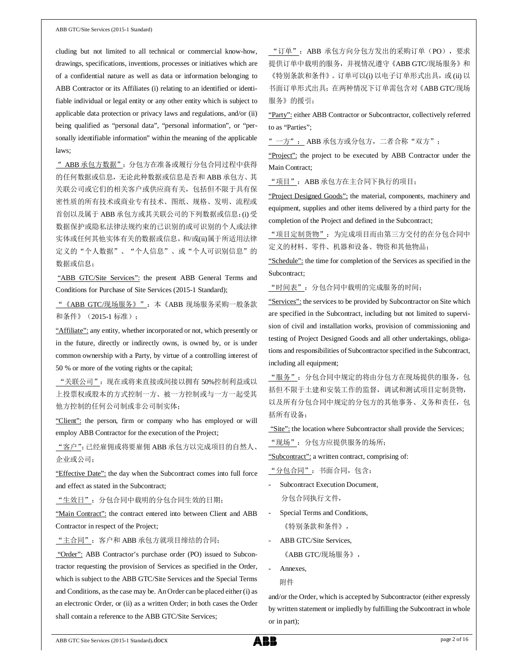cluding but not limited to all technical or commercial know-how, drawings, specifications, inventions, processes or initiatives which are of a confidential nature as well as data or information belonging to ABB Contractor or its Affiliates (i) relating to an identified or identifiable individual or legal entity or any other entity which is subject to applicable data protection or privacy laws and regulations, and/or (ii) being qualified as "personal data", "personal information", or "personally identifiable information" within the meaning of the applicable laws;

"ABB 承包方数据":分包方在准备或履行分包合同过程中获得 的任何数据或信息,无论此种数据或信息是否和 ABB 承包方、其 关联公司或它们的相关客户或供应商有关,包括但不限于具有保 密性质的所有技术或商业专有技术、图纸、规格、发明、流程或 首创以及属于 ABB 承包方或其关联公司的下列数据或信息:(i) 受 数据保护或隐私法律法规约束的已识别的或可识别的个人或法律 实体或任何其他实体有关的数据或信息,和/或(ii)属于所适用法律 定义的"个人数据"、"个人信息"、或"个人可识别信息"的 数据或信息;

"ABB GTC/Site Services": the present ABB General Terms and Conditions for Purchase of Site Services (2015-1 Standard);

"《ABB GTC/现场服务》":本《ABB 现场服务采购一般条款 和条件》(2015-1 标准);

"Affiliate": any entity, whether incorporated or not, which presently or in the future, directly or indirectly owns, is owned by, or is under common ownership with a Party, by virtue of a controlling interest of 50 % or more of the voting rights or the capital;

"关联公司":现在或将来直接或间接以拥有 50%控制利益或以 上投票权或股本的方式控制一方、被一方控制或与一方一起受其 他方控制的任何公司制或非公司制实体;

"Client": the person, firm or company who has employed or will employ ABB Contractor for the execution of the Project;

"客户":已经雇佣或将要雇佣 ABB 承包方以完成项目的自然人、 企业或公司;

"Effective Date": the day when the Subcontract comes into full force and effect as stated in the Subcontract;

"生效日":分包合同中载明的分包合同生效的日期;

"Main Contract": the contract entered into between Client and ABB Contractor in respect of the Project;

"主合同":客户和 ABB 承包方就项目缔结的合同;

"Order": ABB Contractor's purchase order (PO) issued to Subcontractor requesting the provision of Services as specified in the Order, which is subject to the ABB GTC/Site Services and the Special Terms and Conditions, as the case may be. An Order can be placed either (i) as an electronic Order, or (ii) as a written Order; in both cases the Order shall contain a reference to the ABB GTC/Site Services;

"订单":ABB 承包方向分包方发出的采购订单(PO),要求 提供订单中载明的服务,并视情况遵守《ABB GTC/现场服务》和 《特别条款和条件》。订单可以(i) 以电子订单形式出具,或 (ii) 以 书面订单形式出具;在两种情况下订单需包含对《ABB GTC/现场 服务》的援引;

"Party": either ABB Contractor or Subcontractor, collectively referred to as "Parties";

"一方": ABB 承包方或分包方,二者合称"双方";

"Project": the project to be executed by ABB Contractor under the Main Contract;

"项目": ABB 承包方在主合同下执行的项目;

"Project Designed Goods": the material, components, machinery and equipment, supplies and other items delivered by a third party for the completion of the Project and defined in the Subcontract;

"项目定制货物":为完成项目而由第三方交付的在分包合同中 定义的材料、零件、机器和设备、物资和其他物品;

"Schedule": the time for completion of the Services as specified in the Subcontract;

"时间表":分包合同中载明的完成服务的时间;

"Services": the services to be provided by Subcontractor on Site which are specified in the Subcontract, including but not limited to supervision of civil and installation works, provision of commissioning and testing of Project Designed Goods and all other undertakings, obligations and responsibilities of Subcontractor specified in the Subcontract, including all equipment;

"服务":分包合同中规定的将由分包方在现场提供的服务,包 括但不限于土建和安装工作的监督,调试和测试项目定制货物, 以及所有分包合同中规定的分包方的其他事务、义务和责任,包 括所有设备;

"Site": the location where Subcontractor shall provide the Services;

"现场":分包方应提供服务的场所;

"Subcontract": a written contract, comprising of:

"分包合同":书面合同,包含:

- Subcontract Execution Document, 分包合同执行文件,
- Special Terms and Conditions, 《特别条款和条件》,
- ABB GTC/Site Services, 《ABB GTC/现场服务》,
- Annexes, 附件

and/or the Order, which is accepted by Subcontractor (either expressly by written statement or impliedly by fulfilling the Subcontract in whole or in part);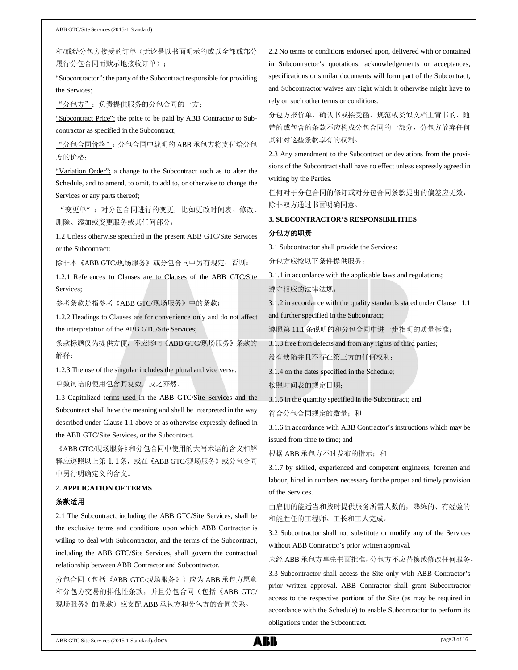和/或经分包方接受的订单(无论是以书面明示的或以全部或部分 履行分包合同而默示地接收订单);

"Subcontractor": the party of the Subcontract responsible for providing the Services;

"分包方":负责提供服务的分包合同的一方;

"Subcontract Price": the price to be paid by ABB Contractor to Subcontractor as specified in the Subcontract;

"分包合同价格":分包合同中载明的 ABB 承包方将支付给分包 方的价格;

"Variation Order": a change to the Subcontract such as to alter the Schedule, and to amend, to omit, to add to, or otherwise to change the Services or any parts thereof;

"变更单":对分包合同进行的变更,比如更改时间表、修改、 删除、添加或变更服务或其任何部分;

1.2 Unless otherwise specified in the present ABB GTC/Site Services or the Subcontract:

除非本《ABB GTC/现场服务》或分包合同中另有规定,否则:

1.2.1 References to Clauses are to Clauses of the ABB GTC/Site Services;

参考条款是指参考《ABB GTC/现场服务》中的条款;

1.2.2 Headings to Clauses are for convenience only and do not affect the interpretation of the ABB GTC/Site Services;

条款标题仅为提供方便,不应影响《ABB GTC/现场服务》条款的 解释;

1.2.3 The use of the singular includes the plural and vice versa.

单数词语的使用包含其复数,反之亦然。

1.3 Capitalized terms used in the ABB GTC/Site Services and the Subcontract shall have the meaning and shall be interpreted in the way described under Clause 1.1 above or as otherwise expressly defined in the ABB GTC/Site Services, or the Subcontract.

《ABB GTC/现场服务》和分包合同中使用的大写术语的含义和解 释应遵照以上第 1.1 条, 或在《ABB GTC/现场服务》或分包合同 中另行明确定义的含义。

#### **2. APPLICATION OF TERMS**

### 条款适用

2.1 The Subcontract, including the ABB GTC/Site Services, shall be the exclusive terms and conditions upon which ABB Contractor is willing to deal with Subcontractor, and the terms of the Subcontract, including the ABB GTC/Site Services, shall govern the contractual relationship between ABB Contractor and Subcontractor.

分包合同(包括《ABB GTC/现场服务》)应为 ABB 承包方愿意 和分包方交易的排他性条款,并且分包合同(包括《ABB GTC/ 现场服务》的条款)应支配 ABB 承包方和分包方的合同关系。

2.2 No terms or conditions endorsed upon, delivered with or contained in Subcontractor's quotations, acknowledgements or acceptances, specifications or similar documents will form part of the Subcontract, and Subcontractor waives any right which it otherwise might have to rely on such other terms or conditions.

分包方报价单、确认书或接受函、规范或类似文档上背书的、随 带的或包含的条款不应构成分包合同的一部分,分包方放弃任何 其针对这些条款享有的权利。

2.3 Any amendment to the Subcontract or deviations from the provisions of the Subcontract shall have no effect unless expressly agreed in writing by the Parties.

任何对于分包合同的修订或对分包合同条款提出的偏差应无效, 除非双方通过书面明确同意。

## **3. SUBCONTRACTOR'S RESPONSIBILITIES**

#### 分包方的职责

3.1 Subcontractor shall provide the Services:

分包方应按以下条件提供服务:

3.1.1 in accordance with the applicable laws and regulations;

遵守相应的法律法规;

3.1.2 in accordance with the quality standards stated under Clause 11.1 and further specified in the Subcontract;

遵照第 11.1 条说明的和分包合同中进一步指明的质量标准;

3.1.3 free from defects and from any rights of third parties;

没有缺陷并且不存在第三方的任何权利;

3.1.4 on the dates specified in the Schedule;

按照时间表的规定日期;

3.1.5 in the quantity specified in the Subcontract; and

符合分包合同规定的数量;和

3.1.6 in accordance with ABB Contractor's instructions which may be issued from time to time; and

根据 ABB 承包方不时发布的指示: 和

3.1.7 by skilled, experienced and competent engineers, foremen and labour, hired in numbers necessary for the proper and timely provision of the Services.

由雇佣的能适当和按时提供服务所需人数的,熟练的、有经验的 和能胜任的工程师、工长和工人完成。

3.2 Subcontractor shall not substitute or modify any of the Services without ABB Contractor's prior written approval.

未经 ABB 承包方事先书面批准,分包方不应替换或修改任何服务。

3.3 Subcontractor shall access the Site only with ABB Contractor's prior written approval. ABB Contractor shall grant Subcontractor access to the respective portions of the Site (as may be required in accordance with the Schedule) to enable Subcontractor to perform its obligations under the Subcontract.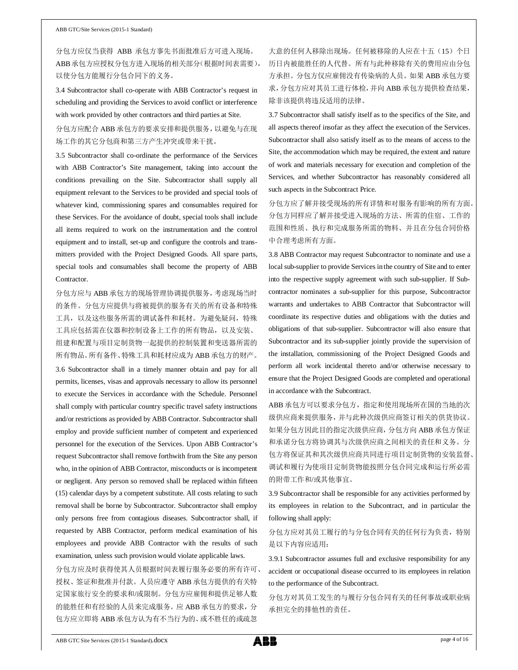分包方应仅当获得 ABB 承包方事先书面批准后方可进入现场。 ABB 承包方应授权分包方进入现场的相关部分(根据时间表需要), 以使分包方能履行分包合同下的义务。

3.4 Subcontractor shall co-operate with ABB Contractor's request in scheduling and providing the Services to avoid conflict or interference with work provided by other contractors and third parties at Site.

## 分包方应配合 ABB 承包方的要求安排和提供服务,以避免与在现 场工作的其它分包商和第三方产生冲突或带来干扰。

3.5 Subcontractor shall co-ordinate the performance of the Services with ABB Contractor's Site management, taking into account the conditions prevailing on the Site. Subcontractor shall supply all equipment relevant to the Services to be provided and special tools of whatever kind, commissioning spares and consumables required for these Services. For the avoidance of doubt, special tools shall include all items required to work on the instrumentation and the control equipment and to install, set-up and configure the controls and transmitters provided with the Project Designed Goods. All spare parts, special tools and consumables shall become the property of ABB Contractor.

分包方应与 ABB 承包方的现场管理协调提供服务,考虑现场当时 的条件。分包方应提供与将被提供的服务有关的所有设备和特殊 工具,以及这些服务所需的调试备件和耗材。为避免疑问,特殊 工具应包括需在仪器和控制设备上工作的所有物品,以及安装、 组建和配置与项目定制货物一起提供的控制装置和变送器所需的 所有物品。所有备件、特殊工具和耗材应成为 ABB 承包方的财产。

3.6 Subcontractor shall in a timely manner obtain and pay for all permits, licenses, visas and approvals necessary to allow its personnel to execute the Services in accordance with the Schedule. Personnel shall comply with particular country specific travel safety instructions and/or restrictions as provided by ABB Contractor. Subcontractor shall employ and provide sufficient number of competent and experienced personnel for the execution of the Services. Upon ABB Contractor's request Subcontractor shall remove forthwith from the Site any person who, in the opinion of ABB Contractor, misconducts or is incompetent or negligent. Any person so removed shall be replaced within fifteen (15) calendar days by a competent substitute. All costs relating to such removal shall be borne by Subcontractor. Subcontractor shall employ only persons free from contagious diseases. Subcontractor shall, if requested by ABB Contractor, perform medical examination of his employees and provide ABB Contractor with the results of such examination, unless such provision would violate applicable laws.

分包方应及时获得使其人员根据时间表履行服务必要的所有许可、 授权、签证和批准并付款。人员应遵守 ABB 承包方提供的有关特 定国家旅行安全的要求和/或限制。分包方应雇佣和提供足够人数 的能胜任和有经验的人员来完成服务。应 ABB 承包方的要求,分 包方应立即将 ABB 承包方认为有不当行为的、或不胜任的或疏忽

大意的任何人移除出现场。任何被移除的人应在十五(15)个日 历日内被能胜任的人代替。所有与此种移除有关的费用应由分包 方承担。分包方仅应雇佣没有传染病的人员。如果 ABB 承包方要 求,分包方应对其员工进行体检,并向 ABB 承包方提供检查结果, 除非该提供将违反适用的法律。

3.7 Subcontractor shall satisfy itself as to the specifics of the Site, and all aspects thereof insofar as they affect the execution of the Services. Subcontractor shall also satisfy itself as to the means of access to the Site, the accommodation which may be required, the extent and nature of work and materials necessary for execution and completion of the Services, and whether Subcontractor has reasonably considered all such aspects in the Subcontract Price.

分包方应了解并接受现场的所有详情和对服务有影响的所有方面。 分包方同样应了解并接受进入现场的方法、所需的住宿、工作的 范围和性质、执行和完成服务所需的物料、并且在分包合同价格 中合理考虑所有方面。

3.8 ABB Contractor may request Subcontractor to nominate and use a local sub-supplier to provide Services in the country of Site and to enter into the respective supply agreement with such sub-supplier. If Subcontractor nominates a sub-supplier for this purpose, Subcontractor warrants and undertakes to ABB Contractor that Subcontractor will coordinate its respective duties and obligations with the duties and obligations of that sub-supplier. Subcontractor will also ensure that Subcontractor and its sub-supplier jointly provide the supervision of the installation, commissioning of the Project Designed Goods and perform all work incidental thereto and/or otherwise necessary to ensure that the Project Designed Goods are completed and operational in accordance with the Subcontract.

ABB 承包方可以要求分包方,指定和使用现场所在国的当地的次 级供应商来提供服务,并与此种次级供应商签订相关的供货协议。 如果分包方因此目的指定次级供应商,分包方向 ABB 承包方保证 和承诺分包方将协调其与次级供应商之间相关的责任和义务。分 包方将保证其和其次级供应商共同进行项目定制货物的安装监督、 调试和履行为使项目定制货物能按照分包合同完成和运行所必需 的附带工作和/或其他事宜。

3.9 Subcontractor shall be responsible for any activities performed by its employees in relation to the Subcontract, and in particular the following shall apply:

分包方应对其员工履行的与分包合同有关的任何行为负责,特别 是以下内容应适用:

3.9.1 Subcontractor assumes full and exclusive responsibility for any accident or occupational disease occurred to its employees in relation to the performance of the Subcontract.

分包方对其员工发生的与履行分包合同有关的任何事故或职业病 承担完全的排他性的责任。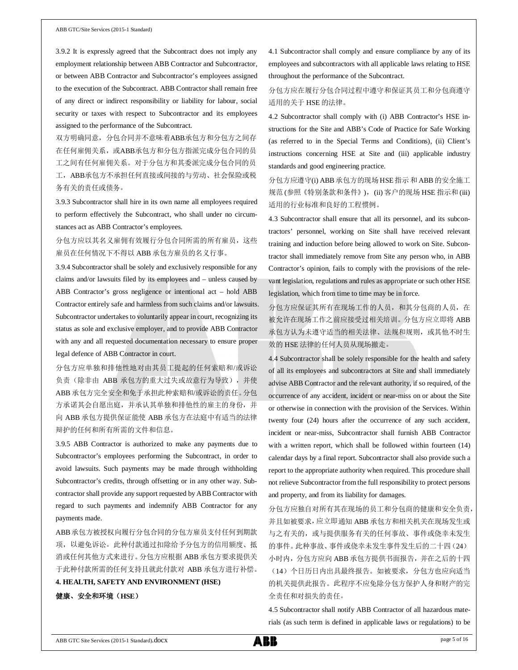3.9.2 It is expressly agreed that the Subcontract does not imply any employment relationship between ABB Contractor and Subcontractor, or between ABB Contractor and Subcontractor's employees assigned to the execution of the Subcontract. ABB Contractor shall remain free of any direct or indirect responsibility or liability for labour, social security or taxes with respect to Subcontractor and its employees assigned to the performance of the Subcontract.

双方明确同意,分包合同并不意味着ABB承包方和分包方之间存 在任何雇佣关系,或ABB承包方和分包方指派完成分包合同的员 工之间有任何雇佣关系。对于分包方和其委派完成分包合同的员 工, ABB承包方不承担任何直接或间接的与劳动、社会保险或税 务有关的责任或债务。

3.9.3 Subcontractor shall hire in its own name all employees required to perform effectively the Subcontract, who shall under no circumstances act as ABB Contractor's employees.

## 分包方应以其名义雇佣有效履行分包合同所需的所有雇员,这些 雇员在任何情况下不得以 ABB 承包方雇员的名义行事。

3.9.4 Subcontractor shall be solely and exclusively responsible for any claims and/or lawsuits filed by its employees and – unless caused by ABB Contractor's gross negligence or intentional act – hold ABB Contractor entirely safe and harmless from such claims and/or lawsuits. Subcontractor undertakes to voluntarily appear in court, recognizing its status as sole and exclusive employer, and to provide ABB Contractor with any and all requested documentation necessary to ensure proper legal defence of ABB Contractor in court.

分包方应单独和排他性地对由其员工提起的任何索赔和/或诉讼 负责(除非由 ABB 承包方的重大过失或故意行为导致), 并使 ABB 承包方完全安全和免于承担此种索赔和/或诉讼的责任。分包 方承诺其会自愿出庭,并承认其单独和排他性的雇主的身份,并 向 ABB 承包方提供保证能使 ABB 承包方在法庭中有适当的法律 辩护的任何和所有所需的文件和信息。

3.9.5 ABB Contractor is authorized to make any payments due to Subcontractor's employees performing the Subcontract, in order to avoid lawsuits. Such payments may be made through withholding Subcontractor's credits, through offsetting or in any other way. Subcontractor shall provide any support requested by ABB Contractor with regard to such payments and indemnify ABB Contractor for any payments made.

ABB承包方被授权向履行分包合同的分包方雇员支付任何到期款 项,以避免诉讼。此种付款通过扣除给予分包方的信用额度、抵 消或任何其他方式来进行。分包方应根据 ABB 承包方要求提供关 于此种付款所需的任何支持且就此付款对 ABB 承包方进行补偿。 **4. HEALTH, SAFETY AND ENVIRONMENT (HSE)**

#### 健康、安全和环境(**HSE**)

4.1 Subcontractor shall comply and ensure compliance by any of its employees and subcontractors with all applicable laws relating to HSE throughout the performance of the Subcontract.

分包方应在履行分包合同过程中遵守和保证其员工和分包商遵守 适用的关于 HSE 的法律。

4.2 Subcontractor shall comply with (i) ABB Contractor's HSE instructions for the Site and ABB's Code of Practice for Safe Working (as referred to in the Special Terms and Conditions), (ii) Client's instructions concerning HSE at Site and (iii) applicable industry standards and good engineering practice.

分包方应遵守(i) ABB 承包方的现场 HSE 指示 和 ABB 的安全施工 规范 (参照《特别条款和条件》), (ii) 客户的现场 HSE 指示和 (iii) 适用的行业标准和良好的工程惯例。

4.3 Subcontractor shall ensure that all its personnel, and its subcontractors' personnel, working on Site shall have received relevant training and induction before being allowed to work on Site. Subcontractor shall immediately remove from Site any person who, in ABB Contractor's opinion, fails to comply with the provisions of the relevant legislation, regulations and rules as appropriate or such other HSE legislation, which from time to time may be in force.

分包方应保证其所有在现场工作的人员,和其分包商的人员,在 被允许在现场工作之前应接受过相关培训。分包方应立即将 ABB 承包方认为未遵守适当的相关法律、法规和规则,或其他不时生 效的 HSE 法律的任何人员从现场撤走。

4.4 Subcontractor shall be solely responsible for the health and safety of all its employees and subcontractors at Site and shall immediately advise ABB Contractor and the relevant authority, if so required, of the occurrence of any accident, incident or near-miss on or about the Site or otherwise in connection with the provision of the Services. Within twenty four (24) hours after the occurrence of any such accident, incident or near-miss, Subcontractor shall furnish ABB Contractor with a written report, which shall be followed within fourteen (14) calendar days by a final report. Subcontractor shall also provide such a report to the appropriate authority when required. This procedure shall not relieve Subcontractor from the full responsibility to protect persons and property, and from its liability for damages.

分包方应独自对所有其在现场的员工和分包商的健康和安全负责, 并且如被要求,应立即通知 ABB 承包方和相关机关在现场发生或 与之有关的,或与提供服务有关的任何事故、事件或侥幸未发生 的事件。此种事故、事件或侥幸未发生事件发生后的二十四(24) 小时内,分包方应向 ABB 承包方提供书面报告,并在之后的十四 (14)个日历日内出具最终报告。如被要求,分包方也应向适当 的机关提供此报告。此程序不应免除分包方保护人身和财产的完 全责任和对损失的责任。

4.5 Subcontractor shall notify ABB Contractor of all hazardous materials (as such term is defined in applicable laws or regulations) to be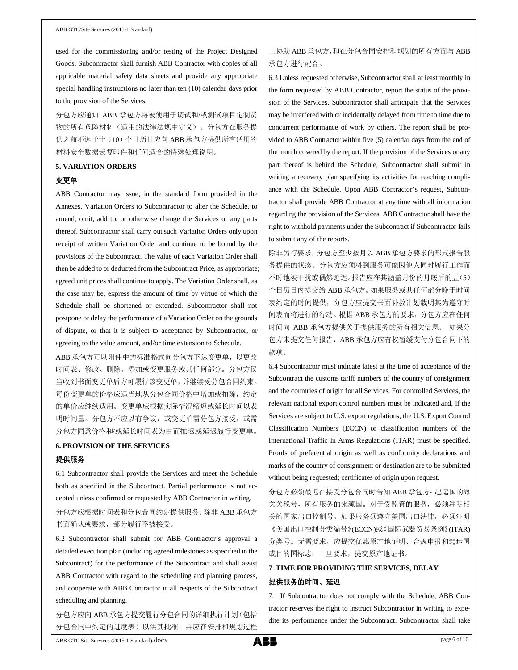used for the commissioning and/or testing of the Project Designed Goods. Subcontractor shall furnish ABB Contractor with copies of all applicable material safety data sheets and provide any appropriate special handling instructions no later than ten (10) calendar days prior to the provision of the Services.

分包方应通知 ABB 承包方将被使用于调试和/或测试项目定制货 物的所有危险材料(适用的法律法规中定义)。分包方在服务提 供之前不迟于十(10)个日历日应向 ABB 承包方提供所有适用的 材料安全数据表复印件和任何适合的特殊处理说明。

## **5. VARIATION ORDERS**

### 变更单

ABB Contractor may issue, in the standard form provided in the Annexes, Variation Orders to Subcontractor to alter the Schedule, to amend, omit, add to, or otherwise change the Services or any parts thereof. Subcontractor shall carry out such Variation Orders only upon receipt of written Variation Order and continue to be bound by the provisions of the Subcontract. The value of each Variation Order shall then be added to or deducted from the Subcontract Price, as appropriate; agreed unit prices shall continue to apply. The Variation Order shall, as the case may be, express the amount of time by virtue of which the Schedule shall be shortened or extended. Subcontractor shall not postpone or delay the performance of a Variation Order on the grounds of dispute, or that it is subject to acceptance by Subcontractor, or agreeing to the value amount, and/or time extension to Schedule.

ABB 承包方可以附件中的标准格式向分包方下达变更单,以更改 时间表、修改、删除、添加或变更服务或其任何部分。分包方仅 当收到书面变更单后方可履行该变更单,并继续受分包合同约束。 每份变更单的价格应适当地从分包合同价格中增加或扣除,约定 的单价应继续适用。变更单应根据实际情况缩短或延长时间以表 明时间量。分包方不应以有争议, 或变更单需分包方接受, 或需 分包方同意价格和/或延长时间表为由而推迟或延迟履行变更单。

## **6. PROVISION OF THE SERVICES**

### 提供服务

6.1 Subcontractor shall provide the Services and meet the Schedule both as specified in the Subcontract. Partial performance is not accepted unless confirmed or requested by ABB Contractor in writing.

分包方应根据时间表和分包合同约定提供服务。除非 ABB 承包方 书面确认或要求,部分履行不被接受。

6.2 Subcontractor shall submit for ABB Contractor's approval a detailed execution plan (including agreed milestones as specified in the Subcontract) for the performance of the Subcontract and shall assist ABB Contractor with regard to the scheduling and planning process, and cooperate with ABB Contractor in all respects of the Subcontract scheduling and planning.

分包方应向 ABB 承包方提交履行分包合同的详细执行计划(包括 分包合同中约定的进度表)以供其批准,并应在安排和规划过程

6.3 Unless requested otherwise, Subcontractor shall at least monthly in the form requested by ABB Contractor, report the status of the provision of the Services. Subcontractor shall anticipate that the Services may be interfered with or incidentally delayed from time to time due to concurrent performance of work by others. The report shall be provided to ABB Contractor within five (5) calendar days from the end of the month covered by the report. If the provision of the Services or any part thereof is behind the Schedule, Subcontractor shall submit in writing a recovery plan specifying its activities for reaching compliance with the Schedule. Upon ABB Contractor's request, Subcontractor shall provide ABB Contractor at any time with all information regarding the provision of the Services. ABB Contractor shall have the right to withhold payments under the Subcontract if Subcontractor fails to submit any of the reports.

除非另行要求,分包方至少按月以 ABB 承包方要求的形式报告服 务提供的状态。分包方应预料到服务可能因他人同时履行工作而 不时地被干扰或偶然延迟。报告应在其涵盖月份的月底后的五(5) 个日历日内提交给 ABB 承包方。如果服务或其任何部分晚于时间 表约定的时间提供,分包方应提交书面补救计划载明其为遵守时 间表而将进行的行动。根据 ABB 承包方的要求,分包方应在任何 时间向 ABB 承包方提供关于提供服务的所有相关信息。 如果分 包方未提交任何报告,ABB 承包方应有权暂缓支付分包合同下的 款项。

6.4 Subcontractor must indicate latest at the time of acceptance of the Subcontract the customs tariff numbers of the country of consignment and the countries of origin for all Services. For controlled Services, the relevant national export control numbers must be indicated and, if the Services are subject to U.S. export regulations, the U.S. Export Control Classification Numbers (ECCN) or classification numbers of the International Traffic In Arms Regulations (ITAR) must be specified. Proofs of preferential origin as well as conformity declarations and marks of the country of consignment or destination are to be submitted without being requested; certificates of origin upon request.

分包方必须最迟在接受分包合同时告知 ABB 承包方:起运国的海 关关税号,所有服务的来源国。对于受监管的服务,必须注明相 关的国家出口控制号,如果服务须遵守美国出口法律,必须注明 《美国出口控制分类编号》(ECCN)或《国际武器贸易条例》(ITAR) 分类号。无需要求,应提交优惠原产地证明、合规申报和起运国 或目的国标志;一旦要求,提交原产地证书。

## **7. TIME FOR PROVIDING THE SERVICES, DELAY** 提供服务的时间、延迟

7.1 If Subcontractor does not comply with the Schedule, ABB Contractor reserves the right to instruct Subcontractor in writing to expedite its performance under the Subcontract. Subcontractor shall take

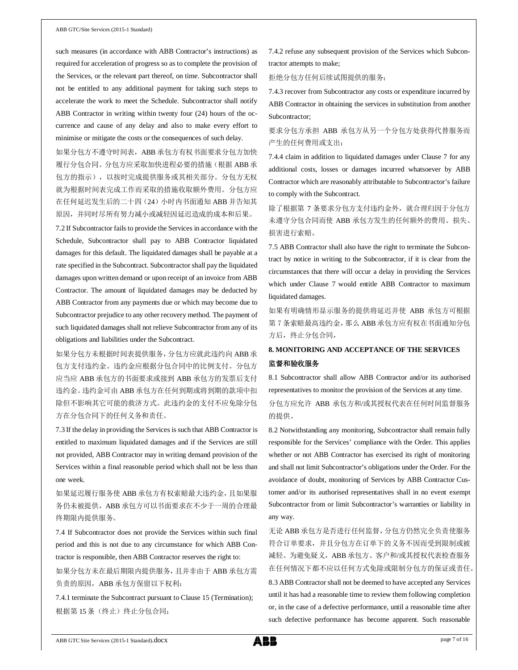such measures (in accordance with ABB Contractor's instructions) as required for acceleration of progress so as to complete the provision of the Services, or the relevant part thereof, on time. Subcontractor shall not be entitled to any additional payment for taking such steps to accelerate the work to meet the Schedule. Subcontractor shall notify ABB Contractor in writing within twenty four (24) hours of the occurrence and cause of any delay and also to make every effort to minimise or mitigate the costs or the consequences of such delay.

如果分包方不遵守时间表,ABB 承包方有权书面要求分包方加快 履行分包合同。分包方应采取加快进程必要的措施(根据 ABB 承 包方的指示),以按时完成提供服务或其相关部分。分包方无权 就为根据时间表完成工作而采取的措施收取额外费用。分包方应 在任何延迟发生后的二十四(24)小时内书面通知 ABB 并告知其 原因,并同时尽所有努力减小或减轻因延迟造成的成本和后果。

7.2 If Subcontractor fails to provide the Services in accordance with the Schedule, Subcontractor shall pay to ABB Contractor liquidated damages for this default. The liquidated damages shall be payable at a rate specified in the Subcontract. Subcontractor shall pay the liquidated damages upon written demand or upon receipt of an invoice from ABB Contractor. The amount of liquidated damages may be deducted by ABB Contractor from any payments due or which may become due to Subcontractor prejudice to any other recovery method. The payment of such liquidated damages shall not relieve Subcontractor from any of its obligations and liabilities under the Subcontract.

如果分包方未根据时间表提供服务,分包方应就此违约向 ABB 承 包方支付违约金。违约金应根据分包合同中的比例支付。分包方 应当应 ABB 承包方的书面要求或接到 ABB 承包方的发票后支付 违约金。违约金可由 ABB 承包方在任何到期或将到期的款项中扣 除但不影响其它可能的救济方式。此违约金的支付不应免除分包 方在分包合同下的任何义务和责任。

7.3 If the delay in providing the Services is such that ABB Contractor is entitled to maximum liquidated damages and if the Services are still not provided, ABB Contractor may in writing demand provision of the Services within a final reasonable period which shall not be less than one week.

如果延迟履行服务使 ABB 承包方有权索赔最大违约金,且如果服 务仍未被提供,ABB 承包方可以书面要求在不少于一周的合理最 终期限内提供服务。

7.4 If Subcontractor does not provide the Services within such final period and this is not due to any circumstance for which ABB Contractor is responsible, then ABB Contractor reserves the right to:

如果分包方未在最后期限内提供服务,且并非由于 ABB 承包方需 负责的原因, ABB 承包方保留以下权利:

7.4.1 terminate the Subcontract pursuant to Clause 15 (Termination); 根据第15条(终止)终止分包合同;

7.4.2 refuse any subsequent provision of the Services which Subcontractor attempts to make;

拒绝分包方任何后续试图提供的服务;

7.4.3 recover from Subcontractor any costs or expenditure incurred by ABB Contractor in obtaining the services in substitution from another Subcontractor;

要求分包方承担 ABB 承包方从另一个分包方处获得代替服务而 产生的任何费用或支出;

7.4.4 claim in addition to liquidated damages under Clause 7 for any additional costs, losses or damages incurred whatsoever by ABB Contractor which are reasonably attributable to Subcontractor's failure to comply with the Subcontract.

除了根据第 7 条要求分包方支付违约金外,就合理归因于分包方 未遵守分包合同而使 ABB 承包方发生的任何额外的费用、损失、 损害进行索赔。

7.5 ABB Contractor shall also have the right to terminate the Subcontract by notice in writing to the Subcontractor, if it is clear from the circumstances that there will occur a delay in providing the Services which under Clause 7 would entitle ABB Contractor to maximum liquidated damages.

如果有明确情形显示服务的提供将延迟并使 ABB 承包方可根据 第 7 条索赔最高违约金,那么 ABB 承包方应有权在书面通知分包 方后,终止分包合同,

## **8. MONITORING AND ACCEPTANCE OF THE SERVICES** 监督和验收服务

8.1 Subcontractor shall allow ABB Contractor and/or its authorised representatives to monitor the provision of the Services at any time.

分包方应允许 ABB 承包方和/或其授权代表在任何时间监督服务 的提供。

8.2 Notwithstanding any monitoring, Subcontractor shall remain fully responsible for the Services' compliance with the Order. This applies whether or not ABB Contractor has exercised its right of monitoring and shall not limit Subcontractor's obligations under the Order. For the avoidance of doubt, monitoring of Services by ABB Contractor Customer and/or its authorised representatives shall in no event exempt Subcontractor from or limit Subcontractor's warranties or liability in any way.

无论 ABB 承包方是否进行任何监督,分包方仍然完全负责使服务 符合订单要求,并且分包方在订单下的义务不因而受到限制或被 减轻。为避免疑义,ABB 承包方、客户和/或其授权代表检查服务 在任何情况下都不应以任何方式免除或限制分包方的保证或责任。

8.3 ABB Contractor shall not be deemed to have accepted any Services until it has had a reasonable time to review them following completion or, in the case of a defective performance, until a reasonable time after such defective performance has become apparent. Such reasonable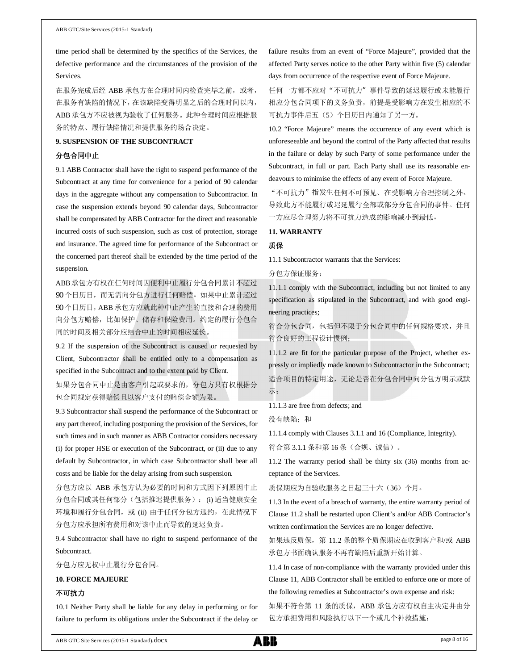time period shall be determined by the specifics of the Services, the defective performance and the circumstances of the provision of the Services.

在服务完成后经 ABB 承包方在合理时间内检查完毕之前, 或者, 在服务有缺陷的情况下,在该缺陷变得明显之后的合理时间以内, ABB 承包方不应被视为验收了任何服务。此种合理时间应根据服 务的特点、履行缺陷情况和提供服务的场合决定。

## **9. SUSPENSION OF THE SUBCONTRACT**

## 分包合同中止

9.1 ABB Contractor shall have the right to suspend performance of the Subcontract at any time for convenience for a period of 90 calendar days in the aggregate without any compensation to Subcontractor. In case the suspension extends beyond 90 calendar days, Subcontractor shall be compensated by ABB Contractor for the direct and reasonable incurred costs of such suspension, such as cost of protection, storage and insurance. The agreed time for performance of the Subcontract or the concerned part thereof shall be extended by the time period of the suspension.

ABB承包方有权在任何时间因便利中止履行分包合同累计不超过 90 个日历日,而无需向分包方进行任何赔偿。如果中止累计超过 90 个日历日, ABB 承包方应就此种中止产生的直接和合理的费用 向分包方赔偿,比如保护、储存和保险费用。约定的履行分包合 同的时间及相关部分应结合中止的时间相应延长。

9.2 If the suspension of the Subcontract is caused or requested by Client, Subcontractor shall be entitled only to a compensation as specified in the Subcontract and to the extent paid by Client.

如果分包合同中止是由客户引起或要求的,分包方只有权根据分 包合同规定获得赔偿且以客户支付的赔偿金额为限。

9.3 Subcontractor shall suspend the performance of the Subcontract or any part thereof, including postponing the provision of the Services, for such times and in such manner as ABB Contractor considers necessary (i) for proper HSE or execution of the Subcontract, or (ii) due to any default by Subcontractor, in which case Subcontractor shall bear all costs and be liable for the delay arising from such suspension.

分包方应以 ABB 承包方认为必要的时间和方式因下列原因中止 分包合同或其任何部分(包括推迟提供服务): (i) 适当健康安全 环境和履行分包合同, 或 (ii) 由于任何分包方违约, 在此情况下 分包方应承担所有费用和对该中止而导致的延迟负责。

9.4 Subcontractor shall have no right to suspend performance of the Subcontract.

分包方应无权中止履行分包合同。

#### **10. FORCE MAJEURE**

### 不可抗力

10.1 Neither Party shall be liable for any delay in performing or for failure to perform its obligations under the Subcontract if the delay or failure results from an event of "Force Majeure", provided that the affected Party serves notice to the other Party within five (5) calendar days from occurrence of the respective event of Force Majeure.

任何一方都不应对"不可抗力"事件导致的延迟履行或未能履行 相应分包合同项下的义务负责,前提是受影响方在发生相应的不 可抗力事件后五(5)个日历日内通知了另一方。

10.2 "Force Majeure" means the occurrence of any event which is unforeseeable and beyond the control of the Party affected that results in the failure or delay by such Party of some performance under the Subcontract, in full or part. Each Party shall use its reasonable endeavours to minimise the effects of any event of Force Majeure.

"不可抗力"指发生任何不可预见、在受影响方合理控制之外、 导致此方不能履行或迟延履行全部或部分分包合同的事件。任何 一方应尽合理努力将不可抗力造成的影响减小到最低。

#### **11. WARRANTY**

#### 质保

11.1 Subcontractor warrants that the Services:

分包方保证服务:

11.1.1 comply with the Subcontract, including but not limited to any specification as stipulated in the Subcontract, and with good engineering practices;

符合分包合同,包括但不限于分包合同中的任何规格要求,并且 符合良好的工程设计惯例;

11.1.2 are fit for the particular purpose of the Project, whether expressly or impliedly made known to Subcontractor in the Subcontract; 适合项目的特定用途,无论是否在分包合同中向分包方明示或默 示;

11.1.3 are free from defects; and

没有缺陷;和

11.1.4 comply with Clauses 3.1.1 and 16 (Compliance, Integrity).

符合第 3.1.1 条和第 16 条(合规、诚信)。

11.2 The warranty period shall be thirty six (36) months from acceptance of the Services.

质保期应为自验收服务之日起三十六(36)个月。

11.3 In the event of a breach of warranty, the entire warranty period of Clause 11.2 shall be restarted upon Client's and/or ABB Contractor's written confirmation the Services are no longer defective.

如果违反质保,第 11.2 条的整个质保期应在收到客户和/或 ABB 承包方书面确认服务不再有缺陷后重新开始计算。

11.4 In case of non-compliance with the warranty provided under this Clause 11, ABB Contractor shall be entitled to enforce one or more of the following remedies at Subcontractor's own expense and risk:

如果不符合第 11 条的质保, ABB 承包方应有权自主决定并由分 包方承担费用和风险执行以下一个或几个补救措施: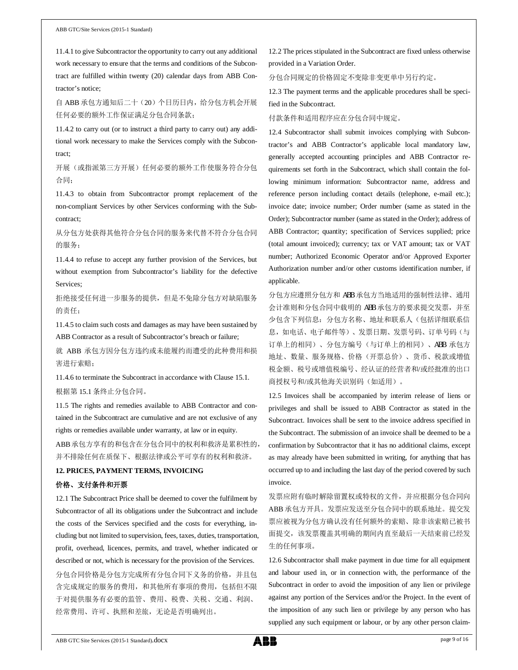11.4.1 to give Subcontractor the opportunity to carry out any additional work necessary to ensure that the terms and conditions of the Subcontract are fulfilled within twenty (20) calendar days from ABB Contractor's notice;

自 ABB 承包方通知后二十(20)个日历日内,给分包方机会开展 任何必要的额外工作保证满足分包合同条款;

11.4.2 to carry out (or to instruct a third party to carry out) any additional work necessary to make the Services comply with the Subcontract;

开展(或指派第三方开展)任何必要的额外工作使服务符合分包 合同;

11.4.3 to obtain from Subcontractor prompt replacement of the non-compliant Services by other Services conforming with the Subcontract;

从分包方处获得其他符合分包合同的服务来代替不符合分包合同 的服务;

11.4.4 to refuse to accept any further provision of the Services, but without exemption from Subcontractor's liability for the defective Services;

拒绝接受任何进一步服务的提供,但是不免除分包方对缺陷服务 的责任;

11.4.5 to claim such costs and damages as may have been sustained by ABB Contractor as a result of Subcontractor's breach or failure;

就 ABB 承包方因分包方违约或未能履约而遭受的此种费用和损 害进行索赔;

11.4.6 to terminate the Subcontract in accordance with Clause 15.1. 根据第 15.1 条终止分包合同。

11.5 The rights and remedies available to ABB Contractor and contained in the Subcontract are cumulative and are not exclusive of any rights or remedies available under warranty, at law or in equity.

ABB 承包方享有的和包含在分包合同中的权利和救济是累积性的, 并不排除任何在质保下、根据法律或公平可享有的权利和救济。

## **12. PRICES, PAYMENT TERMS, INVOICING**

### 价格、支付条件和开票

12.1 The Subcontract Price shall be deemed to cover the fulfilment by Subcontractor of all its obligations under the Subcontract and include the costs of the Services specified and the costs for everything, including but not limited to supervision, fees, taxes, duties, transportation, profit, overhead, licences, permits, and travel, whether indicated or described or not, which is necessary for the provision of the Services. 分包合同价格是分包方完成所有分包合同下义务的价格,并且包 含完成规定的服务的费用,和其他所有事项的费用,包括但不限 于对提供服务有必要的监管、费用、税费、关税、交通、利润、 经常费用、许可、执照和差旅,无论是否明确列出。

12.2 The prices stipulated in the Subcontract are fixed unless otherwise provided in a Variation Order.

分包合同规定的价格固定不变除非变更单中另行约定。

12.3 The payment terms and the applicable procedures shall be specified in the Subcontract.

## 付款条件和适用程序应在分包合同中规定。

12.4 Subcontractor shall submit invoices complying with Subcontractor's and ABB Contractor's applicable local mandatory law, generally accepted accounting principles and ABB Contractor requirements set forth in the Subcontract, which shall contain the following minimum information: Subcontractor name, address and reference person including contact details (telephone, e-mail etc.); invoice date; invoice number; Order number (same as stated in the Order); Subcontractor number (same as stated in the Order); address of ABB Contractor; quantity; specification of Services supplied; price (total amount invoiced); currency; tax or VAT amount; tax or VAT number; Authorized Economic Operator and/or Approved Exporter Authorization number and/or other customs identification number, if applicable.

分包方应遵照分包方和 ABB 承包方当地适用的强制性法律、通用 会计准则和分包合同中载明的 ABB 承包方的要求提交发票,并至 少包含下列信息:分包方名称、地址和联系人(包括详细联系信 息,如电话、电子邮件等)、发票日期、发票号码、订单号码(与 订单上的相同)、分包方编号(与订单上的相同)、ABB 承包方 地址、数量、服务规格、价格(开票总价)、货币、税款或增值 税金额、税号或增值税编号、经认证的经营者和/或经批准的出口 商授权号和/或其他海关识别码(如适用)。

12.5 Invoices shall be accompanied by interim release of liens or privileges and shall be issued to ABB Contractor as stated in the Subcontract. Invoices shall be sent to the invoice address specified in the Subcontract. The submission of an invoice shall be deemed to be a confirmation by Subcontractor that it has no additional claims, except as may already have been submitted in writing, for anything that has occurred up to and including the last day of the period covered by such invoice.

发票应附有临时解除留置权或特权的文件,并应根据分包合同向 ABB 承包方开具。发票应发送至分包合同中的联系地址。提交发 票应被视为分包方确认没有任何额外的索赔、除非该索赔已被书 面提交,该发票覆盖其明确的期间内直至最后一天结束前已经发 生的任何事项。

12.6 Subcontractor shall make payment in due time for all equipment and labour used in, or in connection with, the performance of the Subcontract in order to avoid the imposition of any lien or privilege against any portion of the Services and/or the Project. In the event of the imposition of any such lien or privilege by any person who has supplied any such equipment or labour, or by any other person claim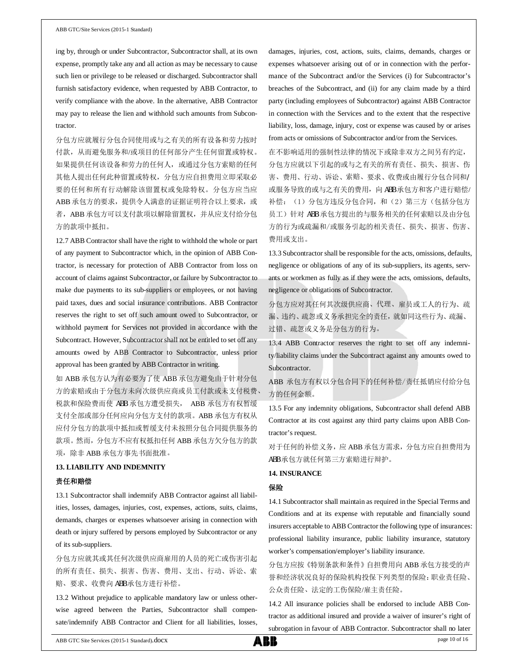ing by, through or under Subcontractor, Subcontractor shall, at its own expense, promptly take any and all action as may be necessary to cause such lien or privilege to be released or discharged. Subcontractor shall furnish satisfactory evidence, when requested by ABB Contractor, to verify compliance with the above. In the alternative, ABB Contractor may pay to release the lien and withhold such amounts from Subcontractor.

分包方应就履行分包合同使用或与之有关的所有设备和劳力按时 付款,从而避免服务和/或项目的任何部分产生任何留置或特权。 如果提供任何该设备和劳力的任何人,或通过分包方索赔的任何 其他人提出任何此种留置或特权,分包方应自担费用立即采取必 要的任何和所有行动解除该留置权或免除特权。分包方应当应 ABB 承包方的要求, 提供令人满意的证据证明符合以上要求, 或 者, ABB 承包方可以支付款项以解除留置权, 并从应支付给分包 方的款项中抵扣。

12.7 ABB Contractor shall have the right to withhold the whole or part of any payment to Subcontractor which, in the opinion of ABB Contractor, is necessary for protection of ABB Contractor from loss on account of claims against Subcontractor, or failure by Subcontractor to make due payments to its sub-suppliers or employees, or not having paid taxes, dues and social insurance contributions. ABB Contractor reserves the right to set off such amount owed to Subcontractor, or withhold payment for Services not provided in accordance with the Subcontract. However, Subcontractor shall not be entitled to set off any amounts owed by ABB Contractor to Subcontractor, unless prior approval has been granted by ABB Contractor in writing.

如 ABB 承包方认为有必要为了使 ABB 承包方避免由于针对分包 方的索赔或由于分包方未向次级供应商或员工付款或未支付税费、 税款和保险费而使 ABB 承包方遭受损失, ABB 承包方有权暂缓 支付全部或部分任何应向分包方支付的款项。ABB 承包方有权从 应付分包方的款项中抵扣或暂缓支付未按照分包合同提供服务的 款项。然而,分包方不应有权抵扣任何 ABB 承包方欠分包方的款 项,除非 ABB 承包方事先书面批准。

#### **13. LIABILITY AND INDEMNITY**

#### 责任和赔偿

13.1 Subcontractor shall indemnify ABB Contractor against all liabilities, losses, damages, injuries, cost, expenses, actions, suits, claims, demands, charges or expenses whatsoever arising in connection with death or injury suffered by persons employed by Subcontractor or any of its sub-suppliers.

分包方应就其或其任何次级供应商雇用的人员的死亡或伤害引起 的所有责任、损失、损害、伤害、费用、支出、行动、诉讼、索 赔、要求、收费向 ABB 承包方进行补偿。

13.2 Without prejudice to applicable mandatory law or unless otherwise agreed between the Parties, Subcontractor shall compensate/indemnify ABB Contractor and Client for all liabilities, losses,

damages, injuries, cost, actions, suits, claims, demands, charges or expenses whatsoever arising out of or in connection with the performance of the Subcontract and/or the Services (i) for Subcontractor's breaches of the Subcontract, and (ii) for any claim made by a third party (including employees of Subcontractor) against ABB Contractor in connection with the Services and to the extent that the respective liability, loss, damage, injury, cost or expense was caused by or arises from acts or omissions of Subcontractor and/or from the Services.

在不影响适用的强制性法律的情况下或除非双方之间另有约定, 分包方应就以下引起的或与之有关的所有责任、损失、损害、伤 害、费用、行动、诉讼、索赔、要求、收费或由履行分包合同和/ 或服务导致的或与之有关的费用, 向 ABB 承包方和客户进行赔偿/ 补偿: (1) 分包方违反分包合同, 和(2) 第三方(包括分包方 员工)针对 ABB 承包方提出的与服务相关的任何索赔以及由分包 方的行为或疏漏和/或服务引起的相关责任、损失、损害、伤害、 费用或支出。

13.3 Subcontractor shall be responsible for the acts, omissions, defaults, negligence or obligations of any of its sub-suppliers, its agents, servants or workmen as fully as if they were the acts, omissions, defaults, negligence or obligations of Subcontractor.

分包方应对其任何其次级供应商、代理、雇员或工人的行为、疏 漏、违约、疏忽或义务承担完全的责任,就如同这些行为、疏漏、 过错、疏忽或义务是分包方的行为。

13.4 ABB Contractor reserves the right to set off any indemnity/liability claims under the Subcontract against any amounts owed to Subcontractor.

ABB 承包方有权以分包合同下的任何补偿/责任抵销应付给分包 方的任何金额。

13.5 For any indemnity obligations, Subcontractor shall defend ABB Contractor at its cost against any third party claims upon ABB Contractor's request.

对于任何的补偿义务,应 ABB 承包方需求,分包方应自担费用为 ABB 承包方就任何第三方索赔进行辩护。

## **14. INSURANCE**

## 保险

14.1 Subcontractor shall maintain as required in the Special Terms and Conditions and at its expense with reputable and financially sound insurers acceptable to ABB Contractor the following type of insurances: professional liability insurance, public liability insurance, statutory worker's compensation/employer's liability insurance.

分包方应按《特别条款和条件》自担费用向 ABB 承包方接受的声 誉和经济状况良好的保险机构投保下列类型的保险:职业责任险、 公众责任险、法定的工伤保险/雇主责任险。

14.2 All insurance policies shall be endorsed to include ABB Contractor as additional insured and provide a waiver of insurer's right of subrogation in favour of ABB Contractor. Subcontractor shall no later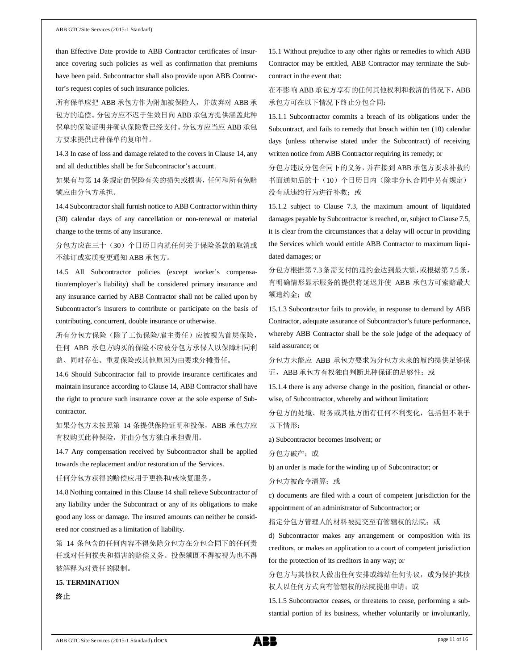than Effective Date provide to ABB Contractor certificates of insurance covering such policies as well as confirmation that premiums have been paid. Subcontractor shall also provide upon ABB Contractor's request copies of such insurance policies.

所有保单应把 ABB 承包方作为附加被保险人,并放弃对 ABB 承 包方的追偿。分包方应不迟于生效日向 ABB 承包方提供涵盖此种 保单的保险证明并确认保险费已经支付。分包方应当应 ABB 承包 方要求提供此种保单的复印件。

14.3 In case of loss and damage related to the covers in Clause 14, any and all deductibles shall be for Subcontractor's account.

如果有与第 14 条规定的保险有关的损失或损害,任何和所有免赔 额应由分包方承担。

14.4 Subcontractor shall furnish notice to ABB Contractor within thirty (30) calendar days of any cancellation or non-renewal or material change to the terms of any insurance.

分包方应在三十(30)个日历日内就任何关于保险条款的取消或 不续订或实质变更通知 ABB 承包方。

14.5 All Subcontractor policies (except worker's compensation/employer's liability) shall be considered primary insurance and any insurance carried by ABB Contractor shall not be called upon by Subcontractor's insurers to contribute or participate on the basis of contributing, concurrent, double insurance or otherwise.

所有分包方保险(除了工伤保险/雇主责任)应被视为首层保险, 任何 ABB 承包方购买的保险不应被分包方承保人以保障相同利 益、同时存在、重复保险或其他原因为由要求分摊责任。

14.6 Should Subcontractor fail to provide insurance certificates and maintain insurance according to Clause 14, ABB Contractor shall have the right to procure such insurance cover at the sole expense of Subcontractor.

如果分包方未按照第 14 条提供保险证明和投保, ABB 承包方应 有权购买此种保险,并由分包方独自承担费用。

14.7 Any compensation received by Subcontractor shall be applied towards the replacement and/or restoration of the Services.

任何分包方获得的赔偿应用于更换和/或恢复服务。

14.8 Nothing contained in this Clause 14 shall relieve Subcontractor of any liability under the Subcontract or any of its obligations to make good any loss or damage. The insured amounts can neither be considered nor construed as a limitation of liability.

第 14 条包含的任何内容不得免除分包方在分包合同下的任何责 任或对任何损失和损害的赔偿义务。投保额既不得被视为也不得 被解释为对责任的限制。

**15. TERMINATION** 终止

15.1 Without prejudice to any other rights or remedies to which ABB Contractor may be entitled, ABB Contractor may terminate the Subcontract in the event that:

在不影响 ABB 承包方享有的任何其他权利和救济的情况下,ABB 承包方可在以下情况下终止分包合同:

15.1.1 Subcontractor commits a breach of its obligations under the Subcontract, and fails to remedy that breach within ten (10) calendar days (unless otherwise stated under the Subcontract) of receiving written notice from ABB Contractor requiring its remedy; or

分包方违反分包合同下的义务,并在接到 ABB 承包方要求补救的 书面通知后的十(10)个日历日内(除非分包合同中另有规定) 没有就违约行为进行补救;或

15.1.2 subject to Clause 7.3, the maximum amount of liquidated damages payable by Subcontractor is reached, or, subject to Clause 7.5, it is clear from the circumstances that a delay will occur in providing the Services which would entitle ABB Contractor to maximum liquidated damages; or

分包方根据第 7.3条需支付的违约金达到最大额,或根据第 7.5条, 有明确情形显示服务的提供将延迟并使 ABB 承包方可索赔最大 额违约金;或

15.1.3 Subcontractor fails to provide, in response to demand by ABB Contractor, adequate assurance of Subcontractor's future performance, whereby ABB Contractor shall be the sole judge of the adequacy of said assurance; or

分包方未能应 ABB 承包方要求为分包方未来的履约提供足够保 证, ABB 承包方有权独自判断此种保证的足够性;或

15.1.4 there is any adverse change in the position, financial or otherwise, of Subcontractor, whereby and without limitation:

分包方的处境、财务或其他方面有任何不利变化,包括但不限于 以下情形:

a) Subcontractor becomes insolvent; or

分包方破产;或

b) an order is made for the winding up of Subcontractor; or

分包方被命令清算;或

c) documents are filed with a court of competent jurisdiction for the appointment of an administrator of Subcontractor; or

指定分包方管理人的材料被提交至有管辖权的法院;或

d) Subcontractor makes any arrangement or composition with its creditors, or makes an application to a court of competent jurisdiction for the protection of its creditors in any way; or

## 分包方与其债权人做出任何安排或缔结任何协议,或为保护其债 权人以任何方式向有管辖权的法院提出申请;或

15.1.5 Subcontractor ceases, or threatens to cease, performing a substantial portion of its business, whether voluntarily or involuntarily,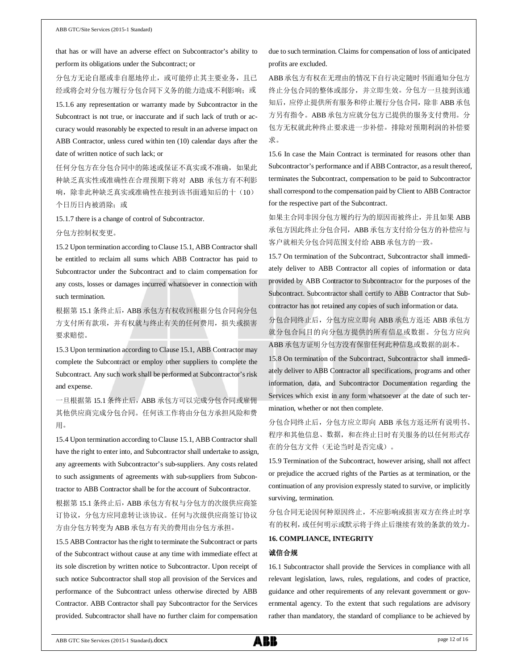that has or will have an adverse effect on Subcontractor's ability to perform its obligations under the Subcontract; or

分包方无论自愿或非自愿地停止,或可能停止其主要业务,且已 经或将会对分包方履行分包合同下义务的能力造成不利影响;或 15.1.6 any representation or warranty made by Subcontractor in the Subcontract is not true, or inaccurate and if such lack of truth or accuracy would reasonably be expected to result in an adverse impact on ABB Contractor, unless cured within ten (10) calendar days after the date of written notice of such lack; or

任何分包方在分包合同中的陈述或保证不真实或不准确,如果此 种缺乏真实性或准确性在合理预期下将对 ABB 承包方有不利影 响,除非此种缺乏真实或准确性在接到该书面通知后的十(10) 个日历日内被消除;或

15.1.7 there is a change of control of Subcontractor.

#### 分包方控制权变更。

15.2 Upon termination according to Clause 15.1, ABB Contractor shall be entitled to reclaim all sums which ABB Contractor has paid to Subcontractor under the Subcontract and to claim compensation for any costs, losses or damages incurred whatsoever in connection with such termination.

根据第 15.1 条终止后,ABB 承包方有权收回根据分包合同向分包 方支付所有款项,并有权就与终止有关的任何费用,损失或损害 要求赔偿。

15.3 Upon termination according to Clause 15.1, ABB Contractor may complete the Subcontract or employ other suppliers to complete the Subcontract. Any such work shall be performed at Subcontractor's risk and expense.

一旦根据第 15.1 条终止后, ABB 承包方可以完成分包合同或雇佣 其他供应商完成分包合同。任何该工作将由分包方承担风险和费 用。

15.4 Upon termination according to Clause 15.1, ABB Contractor shall have the right to enter into, and Subcontractor shall undertake to assign, any agreements with Subcontractor's sub-suppliers. Any costs related to such assignments of agreements with sub-suppliers from Subcontractor to ABB Contractor shall be for the account of Subcontractor.

根据第 15.1 条终止后, ABB 承包方有权与分包方的次级供应商签 订协议,分包方应同意转让该协议。任何与次级供应商签订协议 方由分包方转变为 ABB 承包方有关的费用由分包方承担。

15.5 ABB Contractor has the right to terminate the Subcontract or parts of the Subcontract without cause at any time with immediate effect at its sole discretion by written notice to Subcontractor. Upon receipt of such notice Subcontractor shall stop all provision of the Services and performance of the Subcontract unless otherwise directed by ABB Contractor. ABB Contractor shall pay Subcontractor for the Services provided. Subcontractor shall have no further claim for compensation due to such termination. Claims for compensation of loss of anticipated profits are excluded.

ABB承包方有权在无理由的情况下自行决定随时书面通知分包方 终止分包合同的整体或部分,并立即生效。分包方一旦接到该通 知后,应停止提供所有服务和停止履行分包合同,除非 ABB 承包 方另有指令。ABB 承包方应就分包方已提供的服务支付费用。分 包方无权就此种终止要求进一步补偿。排除对预期利润的补偿要 求。

15.6 In case the Main Contract is terminated for reasons other than Subcontractor's performance and if ABB Contractor, as a result thereof, terminates the Subcontract, compensation to be paid to Subcontractor shall correspond to the compensation paid by Client to ABB Contractor for the respective part of the Subcontract.

如果主合同非因分包方履约行为的原因而被终止,并且如果 ABB 承包方因此终止分包合同,ABB 承包方支付给分包方的补偿应与 客户就相关分包合同范围支付给 ABB 承包方的一致。

15.7 On termination of the Subcontract, Subcontractor shall immediately deliver to ABB Contractor all copies of information or data provided by ABB Contractor to Subcontractor for the purposes of the Subcontract. Subcontractor shall certify to ABB Contractor that Subcontractor has not retained any copies of such information or data.

分包合同终止后,分包方应立即向 ABB 承包方返还 ABB 承包方 就分包合同目的向分包方提供的所有信息或数据。分包方应向 ABB 承包方证明分包方没有保留任何此种信息或数据的副本。

15.8 On termination of the Subcontract, Subcontractor shall immediately deliver to ABB Contractor all specifications, programs and other information, data, and Subcontractor Documentation regarding the Services which exist in any form whatsoever at the date of such termination, whether or not then complete.

分包合同终止后,分包方应立即向 ABB 承包方返还所有说明书、 程序和其他信息、数据,和在终止日时有关服务的以任何形式存 在的分包方文件(无论当时是否完成)。

15.9 Termination of the Subcontract, however arising, shall not affect or prejudice the accrued rights of the Parties as at termination, or the continuation of any provision expressly stated to survive, or implicitly surviving, termination.

分包合同无论因何种原因终止,不应影响或损害双方在终止时享 有的权利,或任何明示或默示将于终止后继续有效的条款的效力。

### **16. COMPLIANCE, INTEGRITY**

### 诚信合规

16.1 Subcontractor shall provide the Services in compliance with all relevant legislation, laws, rules, regulations, and codes of practice, guidance and other requirements of any relevant government or governmental agency. To the extent that such regulations are advisory rather than mandatory, the standard of compliance to be achieved by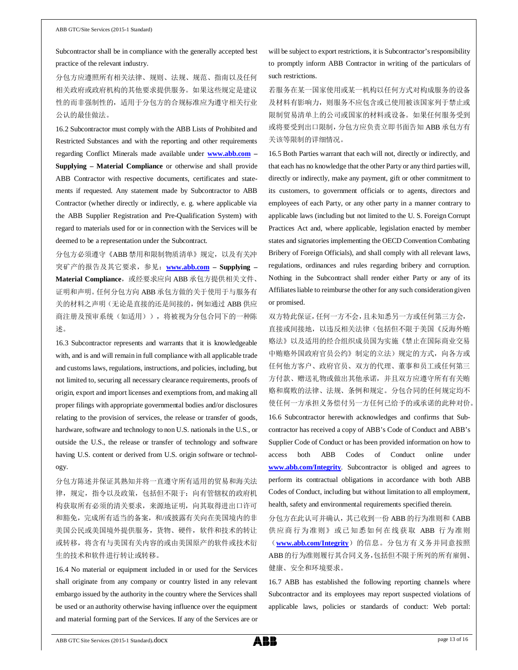Subcontractor shall be in compliance with the generally accepted best practice of the relevant industry.

分包方应遵照所有相关法律、规则、法规、规范、指南以及任何 相关政府或政府机构的其他要求提供服务。如果这些规定是建议 性的而非强制性的,适用于分包方的合规标准应为遵守相关行业 公认的最佳做法。

16.2 Subcontractor must comply with the ABB Lists of Prohibited and Restricted Substances and with the reporting and other requirements regarding Conflict Minerals made available under **www.abb.com – Supplying – Material Compliance** or otherwise and shall provide ABB Contractor with respective documents, certificates and statements if requested. Any statement made by Subcontractor to ABB Contractor (whether directly or indirectly, e. g. where applicable via the ABB Supplier Registration and Pre-Qualification System) with regard to materials used for or in connection with the Services will be deemed to be a representation under the Subcontract.

分包方必须遵守《ABB 禁用和限制物质清单》规定,以及有关冲 突矿产的报告及其它要求,参见:**www.abb.com – Supplying –** Material Compliance, 或经要求应向 ABB 承包方提供相关文件、 证明和声明。任何分包方向 ABB 承包方做的关于使用于与服务有 关的材料之声明(无论是直接的还是间接的,例如通过 ABB 供应 商注册及预审系统(如适用)),将被视为分包合同下的一种陈 述。

16.3 Subcontractor represents and warrants that it is knowledgeable with, and is and will remain in full compliance with all applicable trade and customs laws, regulations, instructions, and policies, including, but not limited to, securing all necessary clearance requirements, proofs of origin, export and import licenses and exemptions from, and making all proper filings with appropriate governmental bodies and/or disclosures relating to the provision of services, the release or transfer of goods, hardware, software and technology to non U.S. nationals in the U.S., or outside the U.S., the release or transfer of technology and software having U.S. content or derived from U.S. origin software or technology.

分包方陈述并保证其熟知并将一直遵守所有适用的贸易和海关法 律,规定,指令以及政策,包括但不限于:向有管辖权的政府机 构获取所有必须的清关要求,来源地证明,向其取得进出口许可 和豁免,完成所有适当的备案,和/或披露有关向在美国境内的非 美国公民或美国境外提供服务,货物、硬件,软件和技术的转让 或转移,将含有与美国有关内容的或由美国原产的软件或技术衍 生的技术和软件进行转让或转移。

16.4 No material or equipment included in or used for the Services shall originate from any company or country listed in any relevant embargo issued by the authority in the country where the Services shall be used or an authority otherwise having influence over the equipment and material forming part of the Services. If any of the Services are or will be subject to export restrictions, it is Subcontractor's responsibility to promptly inform ABB Contractor in writing of the particulars of such restrictions.

若服务在某一国家使用或某一机构以任何方式对构成服务的设备 及材料有影响力,则服务不应包含或已使用被该国家列于禁止或 限制贸易清单上的公司或国家的材料或设备。如果任何服务受到 或将要受到出口限制,分包方应负责立即书面告知 ABB 承包方有 关该等限制的详细情况。

16.5 Both Parties warrant that each will not, directly or indirectly, and that each has no knowledge that the other Party or any third parties will, directly or indirectly, make any payment, gift or other commitment to its customers, to government officials or to agents, directors and employees of each Party, or any other party in a manner contrary to applicable laws (including but not limited to the U. S. Foreign Corrupt Practices Act and, where applicable, legislation enacted by member states and signatories implementing the OECD Convention Combating Bribery of Foreign Officials), and shall comply with all relevant laws, regulations, ordinances and rules regarding bribery and corruption. Nothing in the Subcontract shall render either Party or any of its Affiliates liable to reimburse the other for any such consideration given or promised.

双方特此保证,任何一方不会,且未知悉另一方或任何第三方会, 直接或间接地,以违反相关法律(包括但不限于美国《反海外贿 赂法》以及适用的经合组织成员国为实施《禁止在国际商业交易 中贿赂外国政府官员公约》制定的立法)规定的方式,向各方或 任何他方客户、政府官员、双方的代理、董事和员工或任何第三 方付款、赠送礼物或做出其他承诺,并且双方应遵守所有有关贿 赂和腐败的法律、法规、条例和规定。分包合同的任何规定均不 使任何一方承担义务偿付另一方任何已给予的或承诺的此种对价。 16.6 Subcontractor herewith acknowledges and confirms that Subcontractor has received a copy of ABB's Code of Conduct and ABB's Supplier Code of Conduct or has been provided information on how to access both ABB Codes of Conduct online under **www.abb.com/Integrity**. Subcontractor is obliged and agrees to perform its contractual obligations in accordance with both ABB Codes of Conduct, including but without limitation to all employment, health, safety and environmental requirements specified therein.

分包方在此认可并确认,其已收到一份 ABB 的行为准则和《ABB 供应商行为准则》或已知悉如何在线获取 ABB 行为准则 (**www.abb.com/Integrity**) 的信息。分包方有义务并同意按照 ABB的行为准则履行其合同义务,包括但不限于所列的所有雇佣、 健康、安全和环境要求。

16.7 ABB has established the following reporting channels where Subcontractor and its employees may report suspected violations of applicable laws, policies or standards of conduct: Web portal: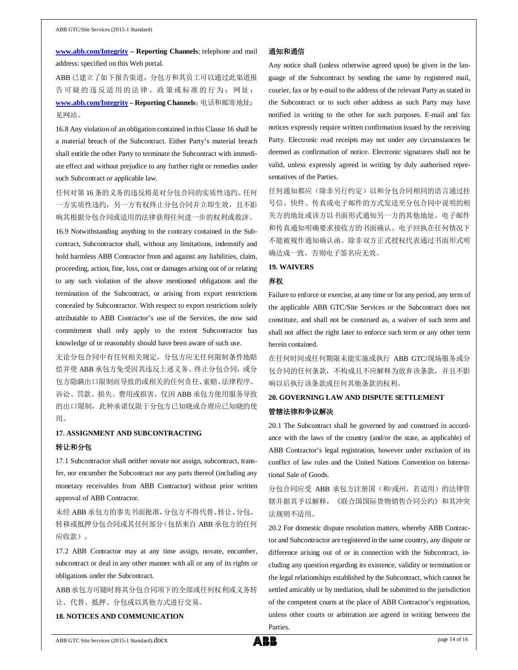**www.abb.com/Integrity – Reporting Channels**; telephone and mail address: specified on this Web portal.

ABB 已建立了如下报告渠道,分包方和其员工可以通过此渠道报 告可疑的违反适用的法律、政策或标准的行为:网址: **www.abb.com/Integrity – Reporting Channels**;电话和邮寄地址: 见网站。

16.8 Any violation of an obligation contained in this Clause 16 shall be a material breach of the Subcontract. Either Party's material breach shall entitle the other Party to terminate the Subcontract with immediate effect and without prejudice to any further right or remedies under such Subcontract or applicable law.

任何对第 16 条的义务的违反将是对分包合同的实质性违约。任何 一方实质性违约,另一方有权终止分包合同并立即生效,且不影 响其根据分包合同或适用的法律获得任何进一步的权利或救济。

16.9 Notwithstanding anything to the contrary contained in the Subcontract, Subcontractor shall, without any limitations, indemnify and hold harmless ABB Contractor from and against any liabilities, claim, proceeding, action, fine, loss, cost or damages arising out of or relating to any such violation of the above mentioned obligations and the termination of the Subcontract, or arising from export restrictions concealed by Subcontractor. With respect to export restrictions solely attributable to ABB Contractor's use of the Services, the now said commitment shall only apply to the extent Subcontractor has knowledge of or reasonably should have been aware of such use.

无论分包合同中有任何相关规定,分包方应无任何限制条件地赔 偿并使 ABB 承包方免受因其违反上述义务、终止分包合同, 或分 包方隐瞒出口限制而导致的或相关的任何责任、索赔、法律程序、 诉讼、罚款、损失、费用或损害。仅因 ABB 承包方使用服务导致 的出口限制,此种承诺仅限于分包方已知晓或合理应已知晓的使 用。

## **17. ASSIGNMENT AND SUBCONTRACTING** 转让和分包

17.1 Subcontractor shall neither novate nor assign, subcontract, transfer, nor encumber the Subcontract nor any parts thereof (including any monetary receivables from ABB Contractor) without prior written approval of ABB Contractor.

未经 ABB 承包方的事先书面批准,分包方不得代替、转让、分包、 转移或抵押分包合同或其任何部分(包括来自 ABB 承包方的任何 应收款)。

17.2 ABB Contractor may at any time assign, novate, encumber, subcontract or deal in any other manner with all or any of its rights or obligations under the Subcontract.

ABB承包方可随时将其分包合同项下的全部或任何权利或义务转 让、代替、抵押、分包或以其他方式进行交易。

## **18. NOTICES AND COMMUNICATION**

#### 通知和通信

Any notice shall (unless otherwise agreed upon) be given in the language of the Subcontract by sending the same by registered mail, courier, fax or by e-mail to the address of the relevant Party as stated in the Subcontract or to such other address as such Party may have notified in writing to the other for such purposes. E-mail and fax notices expressly require written confirmation issued by the receiving Party. Electronic read receipts may not under any circumstances be deemed as confirmation of notice. Electronic signatures shall not be valid, unless expressly agreed in writing by duly authorised representatives of the Parties.

任何通知都应(除非另行约定)以和分包合同相同的语言通过挂 号信、快件、传真或电子邮件的方式发送至分包合同中说明的相 关方的地址或该方以书面形式通知另一方的其他地址。电子邮件 和传真通知明确要求接收方的书面确认。电子回执在任何情况下 不能被视作通知确认函。除非双方正式授权代表通过书面形式明 确达成一致,否则电子签名应无效。

### **19. WAIVERS**

#### 弃权

Failure to enforce or exercise, at any time or for any period, any term of the applicable ABB GTC/Site Services or the Subcontract does not constitute, and shall not be construed as, a waiver of such term and shall not affect the right later to enforce such term or any other term herein contained.

在任何时间或任何期限未能实施或执行 ABB GTC/现场服务或分 包合同的任何条款,不构成且不应解释为放弃该条款,并且不影 响以后执行该条款或任何其他条款的权利。

### **20. GOVERNING LAW AND DISPUTE SETTLEMENT**

#### 管辖法律和争议解决

20.1 The Subcontract shall be governed by and construed in accordance with the laws of the country (and/or the state, as applicable) of ABB Contractor's legal registration, however under exclusion of its conflict of law rules and the United Nations Convention on International Sale of Goods.

分包合同应受 ABB 承包方注册国(和/或州,若适用)的法律管 辖并据其予以解释,《联合国国际货物销售合同公约》和其冲突 法规则不适用。

20.2 For domestic dispute resolution matters, whereby ABB Contractor and Subcontractor are registered in the same country, any dispute or difference arising out of or in connection with the Subcontract, including any question regarding its existence, validity or termination or the legal relationships established by the Subcontract, which cannot be settled amicably or by mediation, shall be submitted to the jurisdiction of the competent courts at the place of ABB Contractor's registration, unless other courts or arbitration are agreed in writing between the Parties.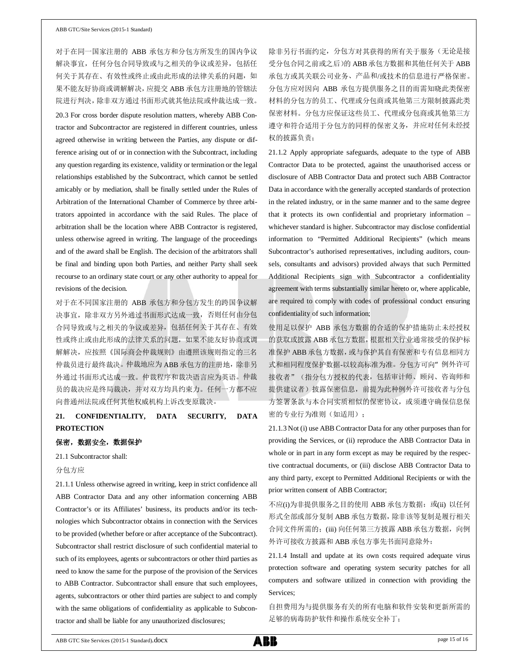对于在同一国家注册的 ABB 承包方和分包方所发生的国内争议 解决事宜,任何分包合同导致或与之相关的争议或差异,包括任 何关于其存在、有效性或终止或由此形成的法律关系的问题,如 果不能友好协商或调解解决,应提交 ABB 承包方注册地的管辖法 院进行判决,除非双方通过书面形式就其他法院或仲裁达成一致。 20.3 For cross border dispute resolution matters, whereby ABB Contractor and Subcontractor are registered in different countries, unless agreed otherwise in writing between the Parties, any dispute or difference arising out of or in connection with the Subcontract, including any question regarding its existence, validity or termination or the legal relationships established by the Subcontract, which cannot be settled amicably or by mediation, shall be finally settled under the Rules of Arbitration of the International Chamber of Commerce by three arbitrators appointed in accordance with the said Rules. The place of arbitration shall be the location where ABB Contractor is registered, unless otherwise agreed in writing. The language of the proceedings and of the award shall be English. The decision of the arbitrators shall be final and binding upon both Parties, and neither Party shall seek recourse to an ordinary state court or any other authority to appeal for revisions of the decision.

对于在不同国家注册的 ABB 承包方和分包方发生的跨国争议解 决事宜,除非双方另外通过书面形式达成一致,否则任何由分包 合同导致或与之相关的争议或差异,包括任何关于其存在、有效 性或终止或由此形成的法律关系的问题,如果不能友好协商或调 解解决,应按照《国际商会仲裁规则》由遵照该规则指定的三名 仲裁员进行最终裁决。仲裁地应为 ABB 承包方的注册地,除非另 外通过书面形式达成一致。仲裁程序和裁决语言应为英语。仲裁 员的裁决应是终局裁决,并对双方均具约束力。任何一方都不应 向普通州法院或任何其他权威机构上诉改变原裁决。

## **21. CONFIDENTIALITY, DATA SECURITY, DATA PROTECTION**

### 保密,数据安全,数据保护

21.1 Subcontractor shall:

### 分包方应

21.1.1 Unless otherwise agreed in writing, keep in strict confidence all ABB Contractor Data and any other information concerning ABB Contractor's or its Affiliates' business, its products and/or its technologies which Subcontractor obtains in connection with the Services to be provided (whether before or after acceptance of the Subcontract). Subcontractor shall restrict disclosure of such confidential material to such of its employees, agents or subcontractors or other third parties as need to know the same for the purpose of the provision of the Services to ABB Contractor. Subcontractor shall ensure that such employees, agents, subcontractors or other third parties are subject to and comply with the same obligations of confidentiality as applicable to Subcontractor and shall be liable for any unauthorized disclosures;

除非另行书面约定,分包方对其获得的所有关于服务(无论是接 受分包合同之前或之后)的 ABB 承包方数据和其他任何关于 ABB 承包方或其关联公司业务、产品和/或技术的信息进行严格保密。 分包方应对因向 ABB 承包方提供服务之目的而需知晓此类保密 材料的分包方的员工、代理或分包商或其他第三方限制披露此类 保密材料。分包方应保证这些员工、代理或分包商或其他第三方 遵守和符合适用于分包方的同样的保密义务,并应对任何未经授 权的披露负责;

21.1.2 Apply appropriate safeguards, adequate to the type of ABB Contractor Data to be protected, against the unauthorised access or disclosure of ABB Contractor Data and protect such ABB Contractor Data in accordance with the generally accepted standards of protection in the related industry, or in the same manner and to the same degree that it protects its own confidential and proprietary information – whichever standard is higher. Subcontractor may disclose confidential information to "Permitted Additional Recipients" (which means Subcontractor's authorised representatives, including auditors, counsels, consultants and advisors) provided always that such Permitted Additional Recipients sign with Subcontractor a confidentiality agreement with terms substantially similar hereto or, where applicable, are required to comply with codes of professional conduct ensuring confidentiality of such information;

使用足以保护 ABB 承包方数据的合适的保护措施防止未经授权 的获取或披露 ABB 承包方数据,根据相关行业通常接受的保护标 准保护 ABB 承包方数据,或与保护其自有保密和专有信息相同方 式和相同程度保护数据-以较高标准为准。分包方可向"例外许可 接收者"(指分包方授权的代表,包括审计师、顾问、咨询师和 提供建议者)披露保密信息,前提为此种例外许可接收者与分包 方签署条款与本合同实质相似的保密协议,或须遵守确保信息保 密的专业行为准则(如适用);

21.1.3 Not (i) use ABB Contractor Data for any other purposes than for providing the Services, or (ii) reproduce the ABB Contractor Data in whole or in part in any form except as may be required by the respective contractual documents, or (iii) disclose ABB Contractor Data to any third party, except to Permitted Additional Recipients or with the prior written consent of ABB Contractor;

不应(i)为非提供服务之目的使用 ABB 承包方数据; 或(ii) 以任何 形式全部或部分复制 ABB 承包方数据,除非该等复制是履行相关 合同文件所需的;(iii) 向任何第三方披露 ABB 承包方数据, 向例 外许可接收方披露和 ABB 承包方事先书面同意除外;

21.1.4 Install and update at its own costs required adequate virus protection software and operating system security patches for all computers and software utilized in connection with providing the Services;

自担费用为与提供服务有关的所有电脑和软件安装和更新所需的 足够的病毒防护软件和操作系统安全补丁;